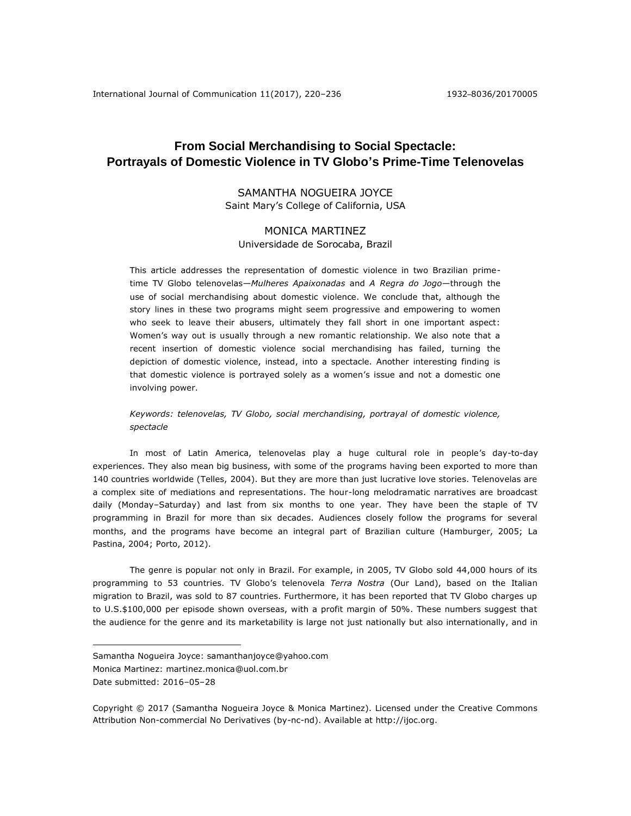# **From Social Merchandising to Social Spectacle: Portrayals of Domestic Violence in TV Globo's Prime-Time Telenovelas**

# SAMANTHA NOGUEIRA JOYCE Saint Mary's College of California, USA

# MONICA MARTINEZ Universidade de Sorocaba, Brazil

This article addresses the representation of domestic violence in two Brazilian primetime TV Globo telenovelas—*Mulheres Apaixonadas* and *A Regra do Jogo*—through the use of social merchandising about domestic violence. We conclude that, although the story lines in these two programs might seem progressive and empowering to women who seek to leave their abusers, ultimately they fall short in one important aspect: Women's way out is usually through a new romantic relationship. We also note that a recent insertion of domestic violence social merchandising has failed, turning the depiction of domestic violence, instead, into a spectacle. Another interesting finding is that domestic violence is portrayed solely as a women's issue and not a domestic one involving power.

# *Keywords: telenovelas, TV Globo, social merchandising, portrayal of domestic violence, spectacle*

In most of Latin America, telenovelas play a huge cultural role in people's day-to-day experiences. They also mean big business, with some of the programs having been exported to more than 140 countries worldwide (Telles, 2004). But they are more than just lucrative love stories. Telenovelas are a complex site of mediations and representations. The hour-long melodramatic narratives are broadcast daily (Monday–Saturday) and last from six months to one year. They have been the staple of TV programming in Brazil for more than six decades. Audiences closely follow the programs for several months, and the programs have become an integral part of Brazilian culture (Hamburger, 2005; La Pastina, 2004; Porto, 2012).

The genre is popular not only in Brazil. For example, in 2005, TV Globo sold 44,000 hours of its programming to 53 countries. TV Globo's telenovela *Terra Nostra* (Our Land), based on the Italian migration to Brazil, was sold to 87 countries. Furthermore, it has been reported that TV Globo charges up to U.S.\$100,000 per episode shown overseas, with a profit margin of 50%. These numbers suggest that the audience for the genre and its marketability is large not just nationally but also internationally, and in

 $\overline{a}$ 

Samantha Nogueira Joyce: samanthanjoyce@yahoo.com

Monica Martinez: martinez.monica@uol.com.br

Date submitted: 2016–05–28

Copyright © 2017 (Samantha Nogueira Joyce & Monica Martinez). Licensed under the Creative Commons Attribution Non-commercial No Derivatives (by-nc-nd). Available at [http://ijoc.org.](http://ijoc.org/)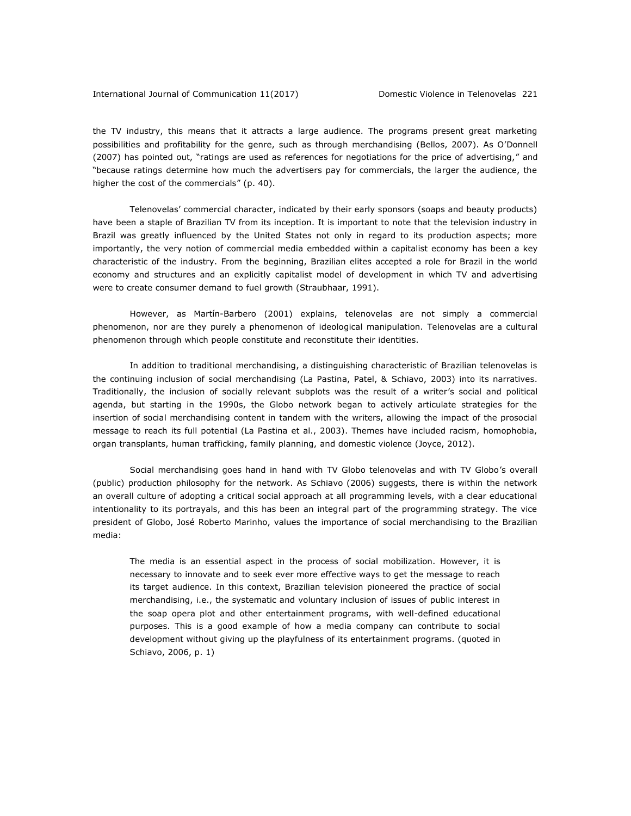the TV industry, this means that it attracts a large audience. The programs present great marketing possibilities and profitability for the genre, such as through merchandising (Bellos, 2007). As O'Donnell (2007) has pointed out, "ratings are used as references for negotiations for the price of advertising," and "because ratings determine how much the advertisers pay for commercials, the larger the audience, the higher the cost of the commercials" (p. 40).

Telenovelas' commercial character, indicated by their early sponsors (soaps and beauty products) have been a staple of Brazilian TV from its inception. It is important to note that the television industry in Brazil was greatly influenced by the United States not only in regard to its production aspects; more importantly, the very notion of commercial media embedded within a capitalist economy has been a key characteristic of the industry. From the beginning, Brazilian elites accepted a role for Brazil in the world economy and structures and an explicitly capitalist model of development in which TV and advertising were to create consumer demand to fuel growth (Straubhaar, 1991).

However, as Martín-Barbero (2001) explains, telenovelas are not simply a commercial phenomenon, nor are they purely a phenomenon of ideological manipulation. Telenovelas are a cultural phenomenon through which people constitute and reconstitute their identities.

In addition to traditional merchandising, a distinguishing characteristic of Brazilian telenovelas is the continuing inclusion of social merchandising (La Pastina, Patel, & Schiavo, 2003) into its narratives. Traditionally, the inclusion of socially relevant subplots was the result of a writer's social and political agenda, but starting in the 1990s, the Globo network began to actively articulate strategies for the insertion of social merchandising content in tandem with the writers, allowing the impact of the prosocial message to reach its full potential (La Pastina et al., 2003). Themes have included racism, homophobia, organ transplants, human trafficking, family planning, and domestic violence (Joyce, 2012).

Social merchandising goes hand in hand with TV Globo telenovelas and with TV Globo's overall (public) production philosophy for the network. As Schiavo (2006) suggests, there is within the network an overall culture of adopting a critical social approach at all programming levels, with a clear educational intentionality to its portrayals, and this has been an integral part of the programming strategy. The vice president of Globo, José Roberto Marinho, values the importance of social merchandising to the Brazilian media:

The media is an essential aspect in the process of social mobilization. However, it is necessary to innovate and to seek ever more effective ways to get the message to reach its target audience. In this context, Brazilian television pioneered the practice of social merchandising, i.e., the systematic and voluntary inclusion of issues of public interest in the soap opera plot and other entertainment programs, with well-defined educational purposes. This is a good example of how a media company can contribute to social development without giving up the playfulness of its entertainment programs. (quoted in Schiavo, 2006, p. 1)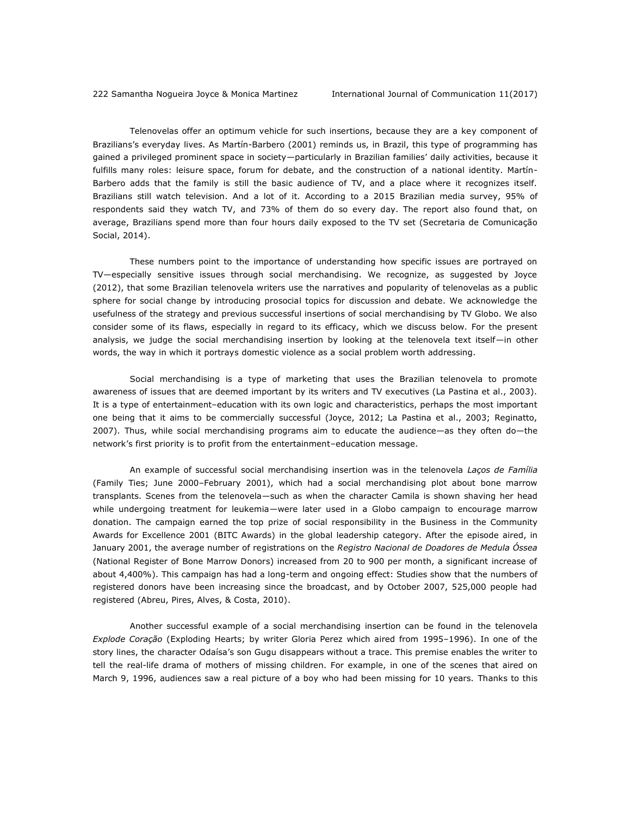Telenovelas offer an optimum vehicle for such insertions, because they are a key component of Brazilians's everyday lives. As Martín-Barbero (2001) reminds us, in Brazil, this type of programming has gained a privileged prominent space in society—particularly in Brazilian families' daily activities, because it fulfills many roles: leisure space, forum for debate, and the construction of a national identity. Martín-Barbero adds that the family is still the basic audience of TV, and a place where it recognizes itself. Brazilians still watch television. And a lot of it. According to a 2015 Brazilian media survey, 95% of respondents said they watch TV, and 73% of them do so every day. The report also found that, on average, Brazilians spend more than four hours daily exposed to the TV set (Secretaria de Comunicação Social, 2014).

These numbers point to the importance of understanding how specific issues are portrayed on TV—especially sensitive issues through social merchandising. We recognize, as suggested by Joyce (2012), that some Brazilian telenovela writers use the narratives and popularity of telenovelas as a public sphere for social change by introducing prosocial topics for discussion and debate. We acknowledge the usefulness of the strategy and previous successful insertions of social merchandising by TV Globo. We also consider some of its flaws, especially in regard to its efficacy, which we discuss below. For the present analysis, we judge the social merchandising insertion by looking at the telenovela text itself—in other words, the way in which it portrays domestic violence as a social problem worth addressing.

Social merchandising is a type of marketing that uses the Brazilian telenovela to promote awareness of issues that are deemed important by its writers and TV executives (La Pastina et al., 2003). It is a type of entertainment–education with its own logic and characteristics, perhaps the most important one being that it aims to be commercially successful (Joyce, 2012; La Pastina et al., 2003; Reginatto, 2007). Thus, while social merchandising programs aim to educate the audience—as they often do—the network's first priority is to profit from the entertainment–education message.

An example of successful social merchandising insertion was in the telenovela *Laços de Família*  (Family Ties; June 2000–February 2001), which had a social merchandising plot about bone marrow transplants. Scenes from the telenovela—such as when the character Camila is shown shaving her head while undergoing treatment for leukemia—were later used in a Globo campaign to encourage marrow donation. The campaign earned the top prize of social responsibility in the Business in the Community Awards for Excellence 2001 (BITC Awards) in the global leadership category. After the episode aired, in January 2001, the average number of registrations on the *Registro Nacional de Doadores de Medula Óssea* (National Register of Bone Marrow Donors) increased from 20 to 900 per month, a significant increase of about 4,400%). This campaign has had a long-term and ongoing effect: Studies show that the numbers of registered donors have been increasing since the broadcast, and by October 2007, 525,000 people had registered (Abreu, Pires, Alves, & Costa, 2010).

Another successful example of a social merchandising insertion can be found in the telenovela *Explode Coração* (Exploding Hearts; by writer Gloria Perez which aired from 1995–1996). In one of the story lines, the character Odaísa's son Gugu disappears without a trace. This premise enables the writer to tell the real-life drama of mothers of missing children. For example, in one of the scenes that aired on March 9, 1996, audiences saw a real picture of a boy who had been missing for 10 years. Thanks to this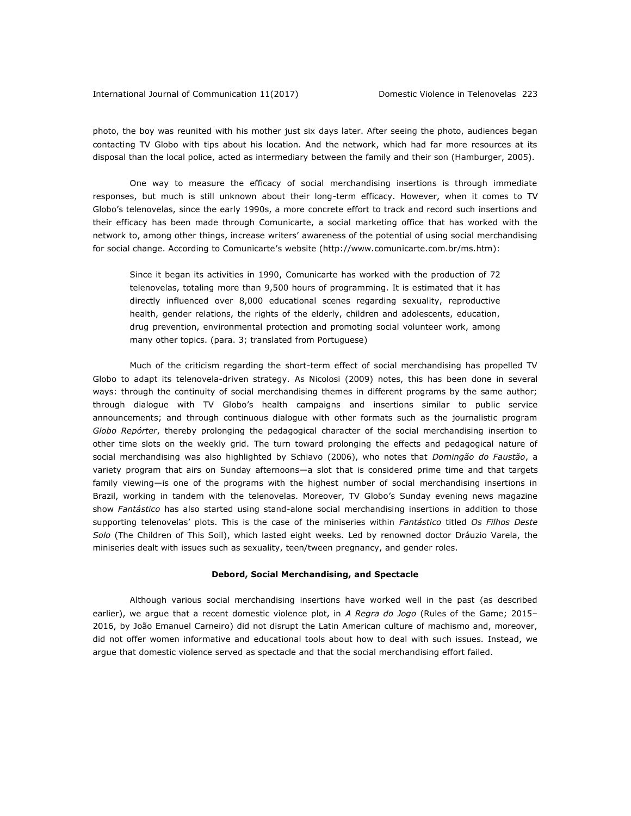#### International Journal of Communication 11(2017) Domestic Violence in Telenovelas 223

photo, the boy was reunited with his mother just six days later. After seeing the photo, audiences began contacting TV Globo with tips about his location. And the network, which had far more resources at its disposal than the local police, acted as intermediary between the family and their son (Hamburger, 2005).

One way to measure the efficacy of social merchandising insertions is through immediate responses, but much is still unknown about their long-term efficacy. However, when it comes to TV Globo's telenovelas, since the early 1990s, a more concrete effort to track and record such insertions and their efficacy has been made through Comunicarte, a social marketing office that has worked with the network to, among other things, increase writers' awareness of the potential of using social merchandising for social change. According to Comunicarte's website [\(http://www.comunicarte.com.br/ms.htm\)](http://www.comunicarte.com.br/ms.htm):

Since it began its activities in 1990, Comunicarte has worked with the production of 72 telenovelas, totaling more than 9,500 hours of programming. It is estimated that it has directly influenced over 8,000 educational scenes regarding sexuality, reproductive health, gender relations, the rights of the elderly, children and adolescents, education, drug prevention, environmental protection and promoting social volunteer work, among many other topics. (para. 3; translated from Portuguese)

Much of the criticism regarding the short-term effect of social merchandising has propelled TV Globo to adapt its telenovela-driven strategy. As Nicolosi (2009) notes, this has been done in several ways: through the continuity of social merchandising themes in different programs by the same author; through dialogue with TV Globo's health campaigns and insertions similar to public service announcements; and through continuous dialogue with other formats such as the journalistic program *Globo Repórter*, thereby prolonging the pedagogical character of the social merchandising insertion to other time slots on the weekly grid. The turn toward prolonging the effects and pedagogical nature of social merchandising was also highlighted by Schiavo (2006), who notes that *Domingão do Faustão*, a variety program that airs on Sunday afternoons—a slot that is considered prime time and that targets family viewing—is one of the programs with the highest number of social merchandising insertions in Brazil, working in tandem with the telenovelas. Moreover, TV Globo's Sunday evening news magazine show *Fantástico* has also started using stand-alone social merchandising insertions in addition to those supporting telenovelas' plots. This is the case of the miniseries within *Fantástico* titled *Os Filhos Deste Solo* (The Children of This Soil), which lasted eight weeks. Led by renowned doctor Dráuzio Varela, the miniseries dealt with issues such as sexuality, teen/tween pregnancy, and gender roles.

#### **Debord, Social Merchandising, and Spectacle**

Although various social merchandising insertions have worked well in the past (as described earlier), we argue that a recent domestic violence plot, in *A Regra do Jogo* (Rules of the Game; 2015– 2016, by João Emanuel Carneiro) did not disrupt the Latin American culture of machismo and, moreover, did not offer women informative and educational tools about how to deal with such issues. Instead, we argue that domestic violence served as spectacle and that the social merchandising effort failed.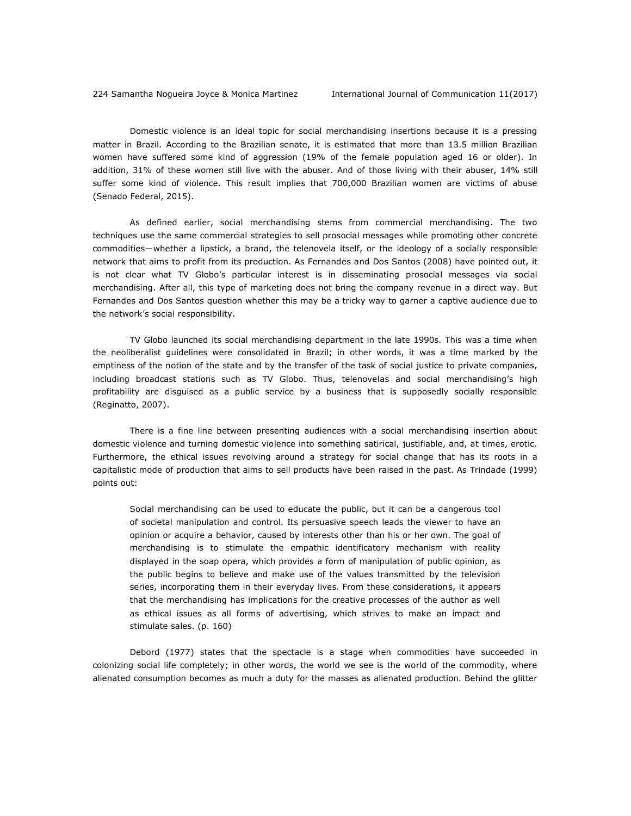Domestic violence is an ideal topic for social merchandising insertions because it is a pressing matter in Brazil. According to the Brazilian senate, it is estimated that more than 13.5 million Brazilian women have suffered some kind of aggression (19% of the female population aged 16 or older). In addition, 31% of these women still live with the abuser. And of those living with their abuser, 14% still suffer some kind of violence. This result implies that 700,000 Brazilian women are victims of abuse (Senado Federal, 2015).

As defined earlier, social merchandising stems from commercial merchandising. The two techniques use the same commercial strategies to sell prosocial messages while promoting other concrete commodities—whether a lipstick, a brand, the telenovela itself, or the ideology of a socially responsible network that aims to profit from its production. As Fernandes and Dos Santos (2008) have pointed out, it is not clear what TV Globo's particular interest is in disseminating prosocial messages via social merchandising. After all, this type of marketing does not bring the company revenue in a direct way. But Fernandes and Dos Santos question whether this may be a tricky way to garner a captive audience due to the network's social responsibility.

TV Globo launched its social merchandising department in the late 1990s. This was a time when the neoliberalist guidelines were consolidated in Brazil; in other words, it was a time marked by the emptiness of the notion of the state and by the transfer of the task of social justice to private companies, including broadcast stations such as TV Globo. Thus, telenovelas and social merchandising's high profitability are disguised as a public service by a business that is supposedly socially responsible (Reginatto, 2007).

There is a fine line between presenting audiences with a social merchandising insertion about domestic violence and turning domestic violence into something satirical, justifiable, and, at times, erotic. Furthermore, the ethical issues revolving around a strategy for social change that has its roots in a capitalistic mode of production that aims to sell products have been raised in the past. As Trindade (1999) points out:

Social merchandising can be used to educate the public, but it can be a dangerous tool of societal manipulation and control. Its persuasive speech leads the viewer to have an opinion or acquire a behavior, caused by interests other than his or her own. The goal of merchandising is to stimulate the empathic identificatory mechanism with reality displayed in the soap opera, which provides a form of manipulation of public opinion, as the public begins to believe and make use of the values transmitted by the television series, incorporating them in their everyday lives. From these considerations, it appears that the merchandising has implications for the creative processes of the author as well as ethical issues as all forms of advertising, which strives to make an impact and stimulate sales. (p. 160)

Debord (1977) states that the spectacle is a stage when commodities have succeeded in colonizing social life completely; in other words, the world we see is the world of the commodity, where alienated consumption becomes as much a duty for the masses as alienated production. Behind the glitter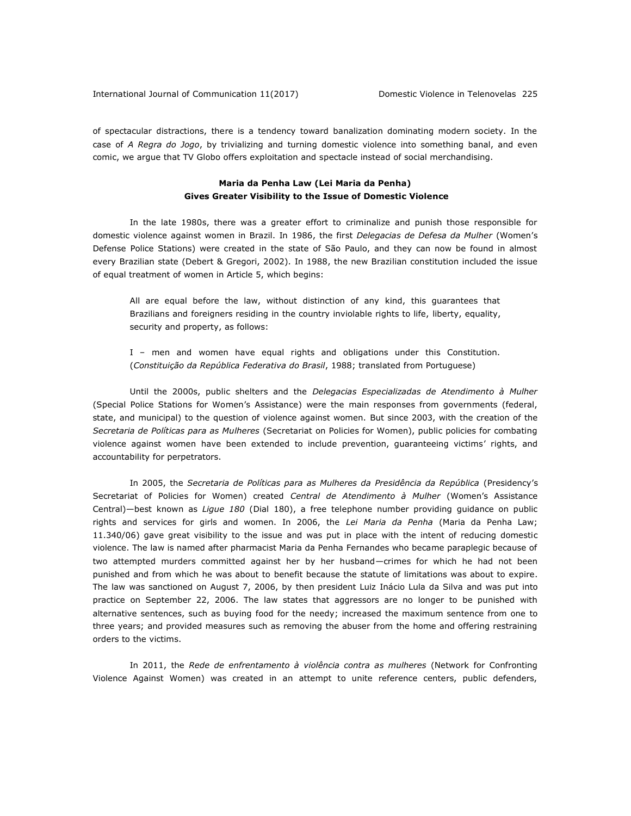of spectacular distractions, there is a tendency toward banalization dominating modern society. In the case of *A Regra do Jogo*, by trivializing and turning domestic violence into something banal, and even comic, we argue that TV Globo offers exploitation and spectacle instead of social merchandising.

### **Maria da Penha Law (Lei Maria da Penha) Gives Greater Visibility to the Issue of Domestic Violence**

In the late 1980s, there was a greater effort to criminalize and punish those responsible for domestic violence against women in Brazil. In 1986, the first *Delegacias de Defesa da Mulher* (Women's Defense Police Stations) were created in the state of São Paulo, and they can now be found in almost every Brazilian state (Debert & Gregori, 2002). In 1988, the new Brazilian constitution included the issue of equal treatment of women in Article 5, which begins:

All are equal before the law, without distinction of any kind, this guarantees that Brazilians and foreigners residing in the country inviolable rights to life, liberty, equality, security and property, as follows:

I – men and women have equal rights and obligations under this Constitution. (*Constituição da República Federativa do Brasil*, 1988; translated from Portuguese)

Until the 2000s, public shelters and the *Delegacias Especializadas de Atendimento à Mulher* (Special Police Stations for Women's Assistance) were the main responses from governments (federal, state, and municipal) to the question of violence against women. But since 2003, with the creation of the *Secretaria de Políticas para as Mulheres* (Secretariat on Policies for Women), public policies for combating violence against women have been extended to include prevention, guaranteeing victims' rights, and accountability for perpetrators.

In 2005, the *Secretaria de Políticas para as Mulheres da Presidência da República* (Presidency's Secretariat of Policies for Women) created *Central de Atendimento à Mulher* (Women's Assistance Central)—best known as *Ligue 180* (Dial 180), a free telephone number providing guidance on public rights and services for girls and women. In 2006, the *Lei Maria da Penha* (Maria da Penha Law; 11.340/06) gave great visibility to the issue and was put in place with the intent of reducing domestic violence. The law is named after pharmacist Maria da Penha Fernandes who became paraplegic because of two attempted murders committed against her by her husband—crimes for which he had not been punished and from which he was about to benefit because the statute of limitations was about to expire. The law was sanctioned on August 7, 2006, by then president Luiz Inácio Lula da Silva and was put into practice on September 22, 2006. The law states that aggressors are no longer to be punished with alternative sentences, such as buying food for the needy; increased the maximum sentence from one to three years; and provided measures such as removing the abuser from the home and offering restraining orders to the victims.

In 2011, the *Rede de enfrentamento à violência contra as mulheres* (Network for Confronting Violence Against Women) was created in an attempt to unite reference centers, public defenders,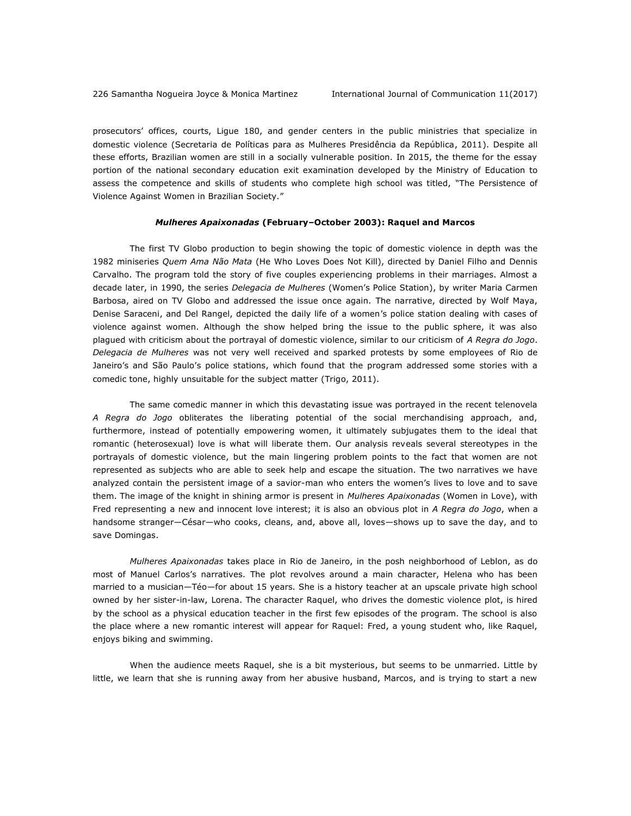prosecutors' offices, courts, Ligue 180, and gender centers in the public ministries that specialize in domestic violence (Secretaria de Políticas para as Mulheres Presidência da República, 2011). Despite all these efforts, Brazilian women are still in a socially vulnerable position. In 2015, the theme for the essay portion of the national secondary education exit examination developed by the Ministry of Education to assess the competence and skills of students who complete high school was titled, "The Persistence of Violence Against Women in Brazilian Society."

#### *Mulheres Apaixonadas* **(February–October 2003): Raquel and Marcos**

The first TV Globo production to begin showing the topic of domestic violence in depth was the 1982 miniseries *Quem Ama Não Mata* (He Who Loves Does Not Kill), directed by Daniel Filho and Dennis Carvalho. The program told the story of five couples experiencing problems in their marriages. Almost a decade later, in 1990, the series *Delegacia de Mulheres* (Women's Police Station), by writer Maria Carmen Barbosa, aired on TV Globo and addressed the issue once again. The narrative, directed by Wolf Maya, Denise Saraceni, and Del Rangel, depicted the daily life of a women's police station dealing with cases of violence against women. Although the show helped bring the issue to the public sphere, it was also plagued with criticism about the portrayal of domestic violence, similar to our criticism of *A Regra do Jogo*. *Delegacia de Mulheres* was not very well received and sparked protests by some employees of Rio de Janeiro's and São Paulo's police stations, which found that the program addressed some stories with a comedic tone, highly unsuitable for the subject matter (Trigo, 2011).

The same comedic manner in which this devastating issue was portrayed in the recent telenovela *A Regra do Jogo* obliterates the liberating potential of the social merchandising approach, and, furthermore, instead of potentially empowering women, it ultimately subjugates them to the ideal that romantic (heterosexual) love is what will liberate them. Our analysis reveals several stereotypes in the portrayals of domestic violence, but the main lingering problem points to the fact that women are not represented as subjects who are able to seek help and escape the situation. The two narratives we have analyzed contain the persistent image of a savior-man who enters the women's lives to love and to save them. The image of the knight in shining armor is present in *Mulheres Apaixonadas* (Women in Love), with Fred representing a new and innocent love interest; it is also an obvious plot in *A Regra do Jogo*, when a handsome stranger—César—who cooks, cleans, and, above all, loves—shows up to save the day, and to save Domingas.

*Mulheres Apaixonadas* takes place in Rio de Janeiro, in the posh neighborhood of Leblon, as do most of Manuel Carlos's narratives. The plot revolves around a main character, Helena who has been married to a musician—Téo—for about 15 years. She is a history teacher at an upscale private high school owned by her sister-in-law, Lorena. The character Raquel, who drives the domestic violence plot, is hired by the school as a physical education teacher in the first few episodes of the program. The school is also the place where a new romantic interest will appear for Raquel: Fred, a young student who, like Raquel, enjoys biking and swimming.

When the audience meets Raquel, she is a bit mysterious, but seems to be unmarried. Little by little, we learn that she is running away from her abusive husband, Marcos, and is trying to start a new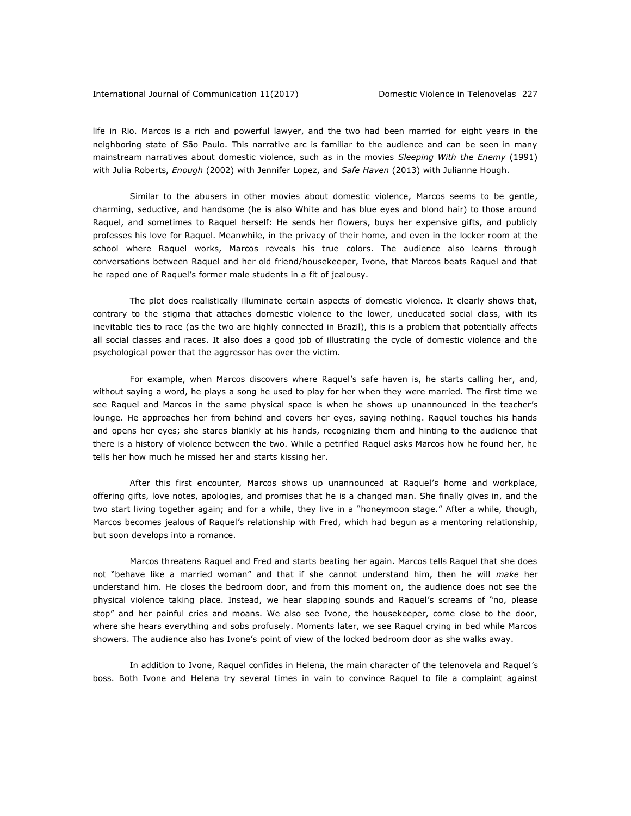#### International Journal of Communication 11(2017) Domestic Violence in Telenovelas 227

life in Rio. Marcos is a rich and powerful lawyer, and the two had been married for eight years in the neighboring state of São Paulo. This narrative arc is familiar to the audience and can be seen in many mainstream narratives about domestic violence, such as in the movies *Sleeping With the Enemy* (1991) with Julia Roberts, *Enough* (2002) with Jennifer Lopez, and *Safe Haven* (2013) with Julianne Hough.

Similar to the abusers in other movies about domestic violence, Marcos seems to be gentle, charming, seductive, and handsome (he is also White and has blue eyes and blond hair) to those around Raquel, and sometimes to Raquel herself: He sends her flowers, buys her expensive gifts, and publicly professes his love for Raquel. Meanwhile, in the privacy of their home, and even in the locker room at the school where Raquel works, Marcos reveals his true colors. The audience also learns through conversations between Raquel and her old friend/housekeeper, Ivone, that Marcos beats Raquel and that he raped one of Raquel's former male students in a fit of jealousy.

The plot does realistically illuminate certain aspects of domestic violence. It clearly shows that, contrary to the stigma that attaches domestic violence to the lower, uneducated social class, with its inevitable ties to race (as the two are highly connected in Brazil), this is a problem that potentially affects all social classes and races. It also does a good job of illustrating the cycle of domestic violence and the psychological power that the aggressor has over the victim.

For example, when Marcos discovers where Raquel's safe haven is, he starts calling her, and, without saying a word, he plays a song he used to play for her when they were married. The first time we see Raquel and Marcos in the same physical space is when he shows up unannounced in the teacher's lounge. He approaches her from behind and covers her eyes, saying nothing. Raquel touches his hands and opens her eyes; she stares blankly at his hands, recognizing them and hinting to the audience that there is a history of violence between the two. While a petrified Raquel asks Marcos how he found her, he tells her how much he missed her and starts kissing her.

After this first encounter, Marcos shows up unannounced at Raquel's home and workplace, offering gifts, love notes, apologies, and promises that he is a changed man. She finally gives in, and the two start living together again; and for a while, they live in a "honeymoon stage." After a while, though, Marcos becomes jealous of Raquel's relationship with Fred, which had begun as a mentoring relationship, but soon develops into a romance.

Marcos threatens Raquel and Fred and starts beating her again. Marcos tells Raquel that she does not "behave like a married woman" and that if she cannot understand him, then he will *make* her understand him. He closes the bedroom door, and from this moment on, the audience does not see the physical violence taking place. Instead, we hear slapping sounds and Raquel's screams of "no, please stop" and her painful cries and moans. We also see Ivone, the housekeeper, come close to the door, where she hears everything and sobs profusely. Moments later, we see Raquel crying in bed while Marcos showers. The audience also has Ivone's point of view of the locked bedroom door as she walks away.

In addition to Ivone, Raquel confides in Helena, the main character of the telenovela and Raquel's boss. Both Ivone and Helena try several times in vain to convince Raquel to file a complaint against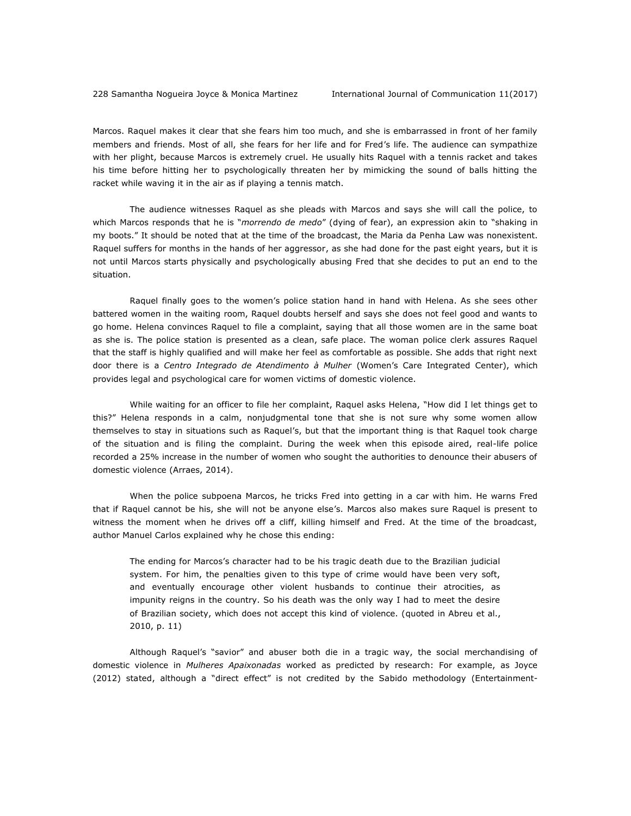Marcos. Raquel makes it clear that she fears him too much, and she is embarrassed in front of her family members and friends. Most of all, she fears for her life and for Fred's life. The audience can sympathize with her plight, because Marcos is extremely cruel. He usually hits Raquel with a tennis racket and takes his time before hitting her to psychologically threaten her by mimicking the sound of balls hitting the racket while waving it in the air as if playing a tennis match.

The audience witnesses Raquel as she pleads with Marcos and says she will call the police, to which Marcos responds that he is "*morrendo de medo*" (dying of fear), an expression akin to "shaking in my boots." It should be noted that at the time of the broadcast, the Maria da Penha Law was nonexistent. Raquel suffers for months in the hands of her aggressor, as she had done for the past eight years, but it is not until Marcos starts physically and psychologically abusing Fred that she decides to put an end to the situation.

Raquel finally goes to the women's police station hand in hand with Helena. As she sees other battered women in the waiting room, Raquel doubts herself and says she does not feel good and wants to go home. Helena convinces Raquel to file a complaint, saying that all those women are in the same boat as she is. The police station is presented as a clean, safe place. The woman police clerk assures Raquel that the staff is highly qualified and will make her feel as comfortable as possible. She adds that right next door there is a *Centro Integrado de Atendimento à Mulher* (Women's Care Integrated Center), which provides legal and psychological care for women victims of domestic violence.

While waiting for an officer to file her complaint, Raquel asks Helena, "How did I let things get to this?" Helena responds in a calm, nonjudgmental tone that she is not sure why some women allow themselves to stay in situations such as Raquel's, but that the important thing is that Raquel took charge of the situation and is filing the complaint. During the week when this episode aired, real-life police recorded a 25% increase in the number of women who sought the authorities to denounce their abusers of domestic violence (Arraes, 2014).

When the police subpoena Marcos, he tricks Fred into getting in a car with him. He warns Fred that if Raquel cannot be his, she will not be anyone else's. Marcos also makes sure Raquel is present to witness the moment when he drives off a cliff, killing himself and Fred. At the time of the broadcast, author Manuel Carlos explained why he chose this ending:

The ending for Marcos's character had to be his tragic death due to the Brazilian judicial system. For him, the penalties given to this type of crime would have been very soft, and eventually encourage other violent husbands to continue their atrocities, as impunity reigns in the country. So his death was the only way I had to meet the desire of Brazilian society, which does not accept this kind of violence. (quoted in Abreu et al., 2010, p. 11)

Although Raquel's "savior" and abuser both die in a tragic way, the social merchandising of domestic violence in *Mulheres Apaixonadas* worked as predicted by research: For example, as Joyce (2012) stated, although a "direct effect" is not credited by the Sabido methodology (Entertainment-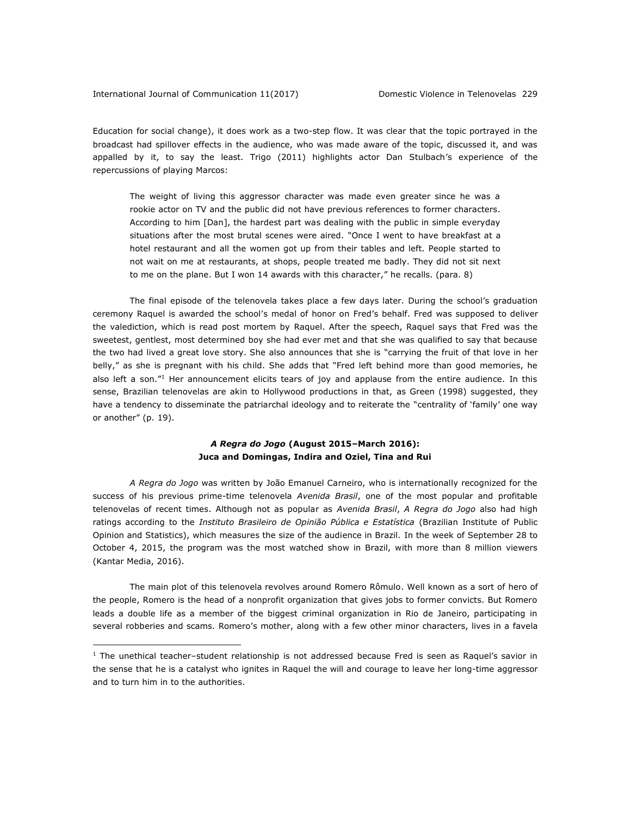$\overline{a}$ 

Education for social change), it does work as a two-step flow. It was clear that the topic portrayed in the broadcast had spillover effects in the audience, who was made aware of the topic, discussed it, and was appalled by it, to say the least. Trigo (2011) highlights actor Dan Stulbach's experience of the repercussions of playing Marcos:

The weight of living this aggressor character was made even greater since he was a rookie actor on TV and the public did not have previous references to former characters. According to him [Dan], the hardest part was dealing with the public in simple everyday situations after the most brutal scenes were aired. "Once I went to have breakfast at a hotel restaurant and all the women got up from their tables and left. People started to not wait on me at restaurants, at shops, people treated me badly. They did not sit next to me on the plane. But I won 14 awards with this character," he recalls. (para. 8)

The final episode of the telenovela takes place a few days later. During the school's graduation ceremony Raquel is awarded the school's medal of honor on Fred's behalf. Fred was supposed to deliver the valediction, which is read post mortem by Raquel. After the speech, Raquel says that Fred was the sweetest, gentlest, most determined boy she had ever met and that she was qualified to say that because the two had lived a great love story. She also announces that she is "carrying the fruit of that love in her belly," as she is pregnant with his child. She adds that "Fred left behind more than good memories, he also left a son."<sup>1</sup> Her announcement elicits tears of joy and applause from the entire audience. In this sense, Brazilian telenovelas are akin to Hollywood productions in that, as Green (1998) suggested, they have a tendency to disseminate the patriarchal ideology and to reiterate the "centrality of 'family' one way or another" (p. 19).

## *A Regra do Jogo* **(August 2015–March 2016): Juca and Domingas, Indira and Oziel, Tina and Rui**

*A Regra do Jogo* was written by João Emanuel Carneiro, who is internationally recognized for the success of his previous prime-time telenovela *Avenida Brasil*, one of the most popular and profitable telenovelas of recent times. Although not as popular as *Avenida Brasil*, *A Regra do Jogo* also had high ratings according to the *Instituto Brasileiro de Opinião Pública e Estatística* (Brazilian Institute of Public Opinion and Statistics), which measures the size of the audience in Brazil. In the week of September 28 to October 4, 2015, the program was the most watched show in Brazil, with more than 8 million viewers (Kantar Media, 2016).

The main plot of this telenovela revolves around Romero Rômulo. Well known as a sort of hero of the people, Romero is the head of a nonprofit organization that gives jobs to former convicts. But Romero leads a double life as a member of the biggest criminal organization in Rio de Janeiro, participating in several robberies and scams. Romero's mother, along with a few other minor characters, lives in a favela

 $1$  The unethical teacher–student relationship is not addressed because Fred is seen as Raquel's savior in the sense that he is a catalyst who ignites in Raquel the will and courage to leave her long-time aggressor and to turn him in to the authorities.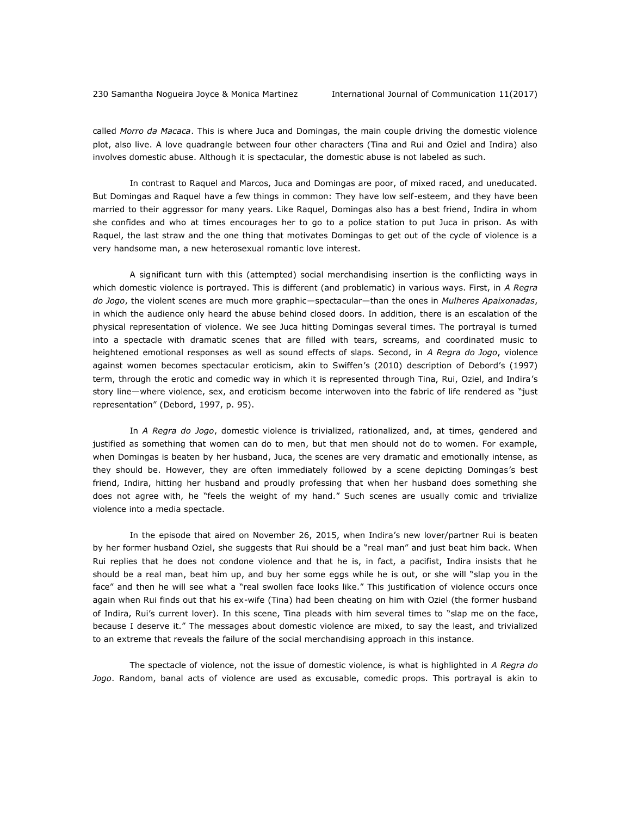called *Morro da Macaca*. This is where Juca and Domingas, the main couple driving the domestic violence plot, also live. A love quadrangle between four other characters (Tina and Rui and Oziel and Indira) also involves domestic abuse. Although it is spectacular, the domestic abuse is not labeled as such.

In contrast to Raquel and Marcos, Juca and Domingas are poor, of mixed raced, and uneducated. But Domingas and Raquel have a few things in common: They have low self-esteem, and they have been married to their aggressor for many years. Like Raquel, Domingas also has a best friend, Indira in whom she confides and who at times encourages her to go to a police station to put Juca in prison. As with Raquel, the last straw and the one thing that motivates Domingas to get out of the cycle of violence is a very handsome man, a new heterosexual romantic love interest.

A significant turn with this (attempted) social merchandising insertion is the conflicting ways in which domestic violence is portrayed. This is different (and problematic) in various ways. First, in *A Regra do Jogo*, the violent scenes are much more graphic—spectacular—than the ones in *Mulheres Apaixonadas*, in which the audience only heard the abuse behind closed doors. In addition, there is an escalation of the physical representation of violence. We see Juca hitting Domingas several times. The portrayal is turned into a spectacle with dramatic scenes that are filled with tears, screams, and coordinated music to heightened emotional responses as well as sound effects of slaps. Second, in *A Regra do Jogo*, violence against women becomes spectacular eroticism, akin to Swiffen's (2010) description of Debord's (1997) term, through the erotic and comedic way in which it is represented through Tina, Rui, Oziel, and Indira's story line—where violence, sex, and eroticism become interwoven into the fabric of life rendered as "just representation" (Debord, 1997, p. 95).

In *A Regra do Jogo*, domestic violence is trivialized, rationalized, and, at times, gendered and justified as something that women can do to men, but that men should not do to women. For example, when Domingas is beaten by her husband, Juca, the scenes are very dramatic and emotionally intense, as they should be. However, they are often immediately followed by a scene depicting Domingas's best friend, Indira, hitting her husband and proudly professing that when her husband does something she does not agree with, he "feels the weight of my hand." Such scenes are usually comic and trivialize violence into a media spectacle.

In the episode that aired on November 26, 2015, when Indira's new lover/partner Rui is beaten by her former husband Oziel, she suggests that Rui should be a "real man" and just beat him back. When Rui replies that he does not condone violence and that he is, in fact, a pacifist, Indira insists that he should be a real man, beat him up, and buy her some eggs while he is out, or she will "slap you in the face" and then he will see what a "real swollen face looks like." This justification of violence occurs once again when Rui finds out that his ex-wife (Tina) had been cheating on him with Oziel (the former husband of Indira, Rui's current lover). In this scene, Tina pleads with him several times to "slap me on the face, because I deserve it." The messages about domestic violence are mixed, to say the least, and trivialized to an extreme that reveals the failure of the social merchandising approach in this instance.

The spectacle of violence, not the issue of domestic violence, is what is highlighted in *A Regra do Jogo*. Random, banal acts of violence are used as excusable, comedic props. This portrayal is akin to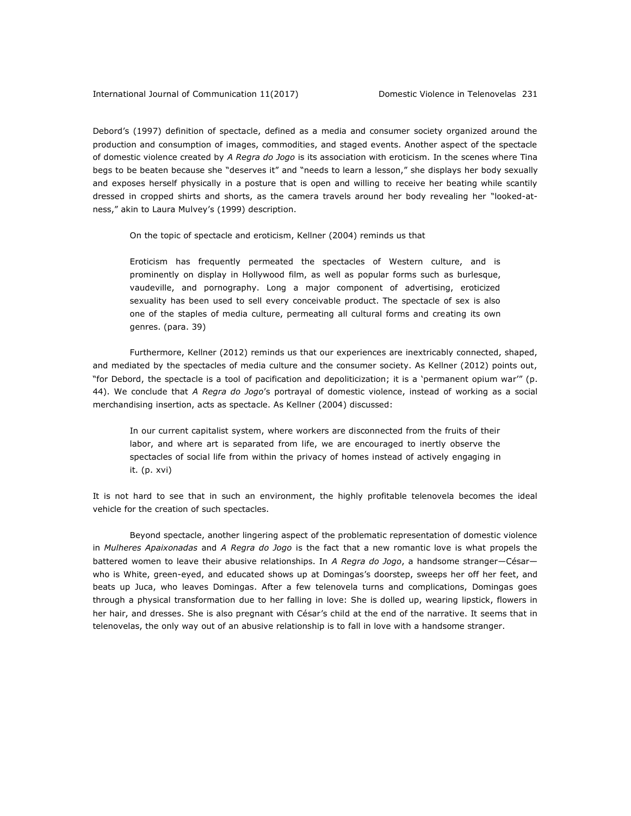Debord's (1997) definition of spectacle, defined as a media and consumer society organized around the production and consumption of images, commodities, and staged events. Another aspect of the spectacle of domestic violence created by *A Regra do Jogo* is its association with eroticism. In the scenes where Tina begs to be beaten because she "deserves it" and "needs to learn a lesson," she displays her body sexually and exposes herself physically in a posture that is open and willing to receive her beating while scantily dressed in cropped shirts and shorts, as the camera travels around her body revealing her "looked-atness," akin to Laura Mulvey's (1999) description.

On the topic of spectacle and eroticism, Kellner (2004) reminds us that

Eroticism has frequently permeated the spectacles of Western culture, and is prominently on display in Hollywood film, as well as popular forms such as burlesque, vaudeville, and pornography. Long a major component of advertising, eroticized sexuality has been used to sell every conceivable product. The spectacle of sex is also one of the staples of media culture, permeating all cultural forms and creating its own genres. (para. 39)

Furthermore, Kellner (2012) reminds us that our experiences are inextricably connected, shaped, and mediated by the spectacles of media culture and the consumer society. As Kellner (2012) points out, "for Debord, the spectacle is a tool of pacification and depoliticization; it is a 'permanent opium war'" (p. 44). We conclude that *A Regra do Jogo*'s portrayal of domestic violence, instead of working as a social merchandising insertion, acts as spectacle. As Kellner (2004) discussed:

In our current capitalist system, where workers are disconnected from the fruits of their labor, and where art is separated from life, we are encouraged to inertly observe the spectacles of social life from within the privacy of homes instead of actively engaging in it. (p. xvi)

It is not hard to see that in such an environment, the highly profitable telenovela becomes the ideal vehicle for the creation of such spectacles.

Beyond spectacle, another lingering aspect of the problematic representation of domestic violence in *Mulheres Apaixonadas* and *A Regra do Jogo* is the fact that a new romantic love is what propels the battered women to leave their abusive relationships. In *A Regra do Jogo*, a handsome stranger—César who is White, green-eyed, and educated shows up at Domingas's doorstep, sweeps her off her feet, and beats up Juca, who leaves Domingas. After a few telenovela turns and complications, Domingas goes through a physical transformation due to her falling in love: She is dolled up, wearing lipstick, flowers in her hair, and dresses. She is also pregnant with César's child at the end of the narrative. It seems that in telenovelas, the only way out of an abusive relationship is to fall in love with a handsome stranger.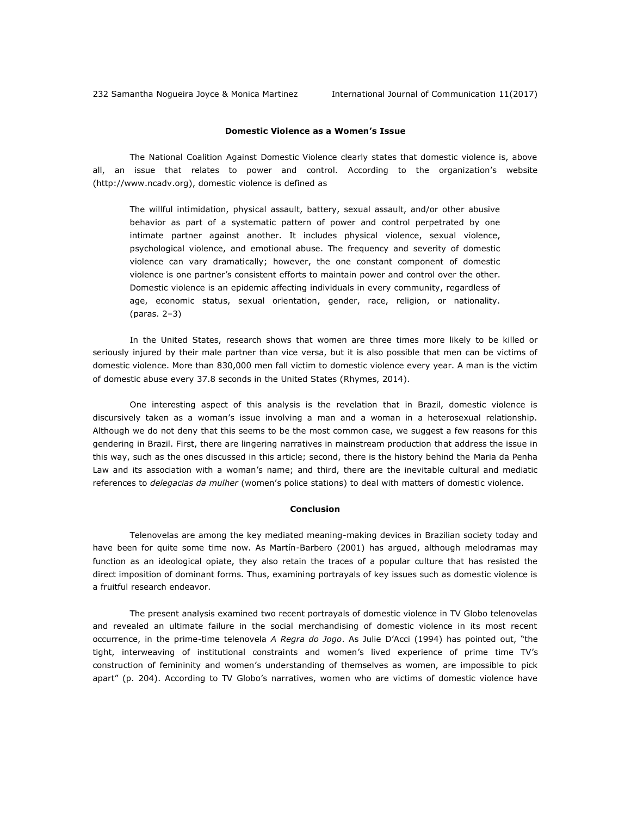#### **Domestic Violence as a Women's Issue**

The National Coalition Against Domestic Violence clearly states that domestic violence is, above all, an issue that relates to power and control. According to the organization's website [\(http://www.ncadv.org\)](http://www.ncadv.org/), domestic violence is defined as

The willful intimidation, physical assault, battery, sexual assault, and/or other abusive behavior as part of a systematic pattern of power and control perpetrated by one intimate partner against another. It includes physical violence, sexual violence, psychological violence, and emotional abuse. The frequency and severity of domestic violence can vary dramatically; however, the one constant component of domestic violence is one partner's consistent efforts to maintain power and control over the other. Domestic violence is an epidemic affecting individuals in every community, regardless of age, economic status, sexual orientation, gender, race, religion, or nationality. (paras. 2–3)

In the United States, research shows that women are three times more likely to be killed or seriously injured by their male partner than vice versa, but it is also possible that men can be victims of domestic violence. More than 830,000 men fall victim to domestic violence every year. A man is the victim of domestic abuse every 37.8 seconds in the United States (Rhymes, 2014).

One interesting aspect of this analysis is the revelation that in Brazil, domestic violence is discursively taken as a woman's issue involving a man and a woman in a heterosexual relationship. Although we do not deny that this seems to be the most common case, we suggest a few reasons for this gendering in Brazil. First, there are lingering narratives in mainstream production that address the issue in this way, such as the ones discussed in this article; second, there is the history behind the Maria da Penha Law and its association with a woman's name; and third, there are the inevitable cultural and mediatic references to *delegacias da mulher* (women's police stations) to deal with matters of domestic violence.

### **Conclusion**

Telenovelas are among the key mediated meaning-making devices in Brazilian society today and have been for quite some time now. As Martín-Barbero (2001) has argued, although melodramas may function as an ideological opiate, they also retain the traces of a popular culture that has resisted the direct imposition of dominant forms. Thus, examining portrayals of key issues such as domestic violence is a fruitful research endeavor.

The present analysis examined two recent portrayals of domestic violence in TV Globo telenovelas and revealed an ultimate failure in the social merchandising of domestic violence in its most recent occurrence, in the prime-time telenovela *A Regra do Jogo*. As Julie D'Acci (1994) has pointed out, "the tight, interweaving of institutional constraints and women's lived experience of prime time TV's construction of femininity and women's understanding of themselves as women, are impossible to pick apart" (p. 204). According to TV Globo's narratives, women who are victims of domestic violence have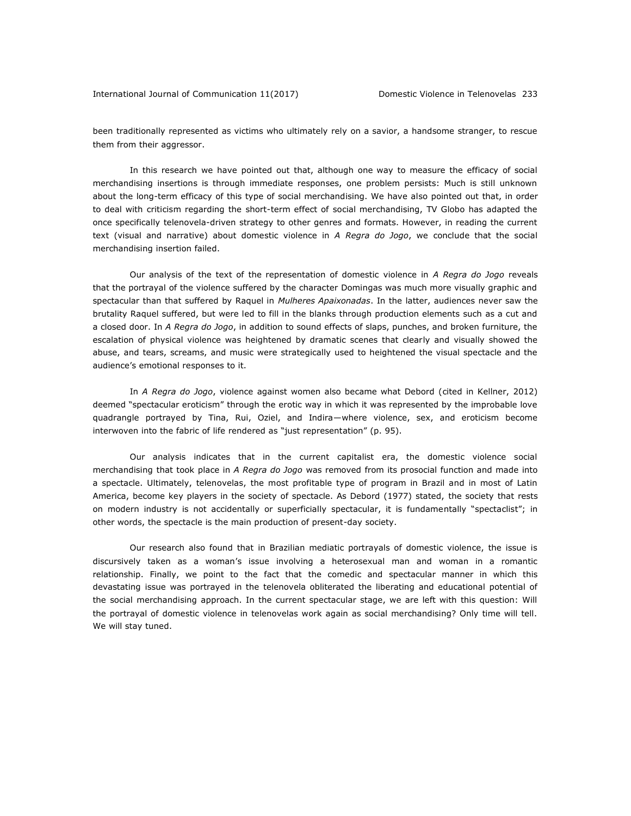been traditionally represented as victims who ultimately rely on a savior, a handsome stranger, to rescue them from their aggressor.

In this research we have pointed out that, although one way to measure the efficacy of social merchandising insertions is through immediate responses, one problem persists: Much is still unknown about the long-term efficacy of this type of social merchandising. We have also pointed out that, in order to deal with criticism regarding the short-term effect of social merchandising, TV Globo has adapted the once specifically telenovela-driven strategy to other genres and formats. However, in reading the current text (visual and narrative) about domestic violence in *A Regra do Jogo*, we conclude that the social merchandising insertion failed.

Our analysis of the text of the representation of domestic violence in *A Regra do Jogo* reveals that the portrayal of the violence suffered by the character Domingas was much more visually graphic and spectacular than that suffered by Raquel in *Mulheres Apaixonadas*. In the latter, audiences never saw the brutality Raquel suffered, but were led to fill in the blanks through production elements such as a cut and a closed door. In *A Regra do Jogo*, in addition to sound effects of slaps, punches, and broken furniture, the escalation of physical violence was heightened by dramatic scenes that clearly and visually showed the abuse, and tears, screams, and music were strategically used to heightened the visual spectacle and the audience's emotional responses to it.

In *A Regra do Jogo*, violence against women also became what Debord (cited in Kellner, 2012) deemed "spectacular eroticism" through the erotic way in which it was represented by the improbable love quadrangle portrayed by Tina, Rui, Oziel, and Indira—where violence, sex, and eroticism become interwoven into the fabric of life rendered as "just representation" (p. 95).

Our analysis indicates that in the current capitalist era, the domestic violence social merchandising that took place in *A Regra do Jogo* was removed from its prosocial function and made into a spectacle. Ultimately, telenovelas, the most profitable type of program in Brazil and in most of Latin America, become key players in the society of spectacle. As Debord (1977) stated, the society that rests on modern industry is not accidentally or superficially spectacular, it is fundamentally "spectaclist"; in other words, the spectacle is the main production of present-day society.

Our research also found that in Brazilian mediatic portrayals of domestic violence, the issue is discursively taken as a woman's issue involving a heterosexual man and woman in a romantic relationship. Finally, we point to the fact that the comedic and spectacular manner in which this devastating issue was portrayed in the telenovela obliterated the liberating and educational potential of the social merchandising approach. In the current spectacular stage, we are left with this question: Will the portrayal of domestic violence in telenovelas work again as social merchandising? Only time will tell. We will stay tuned.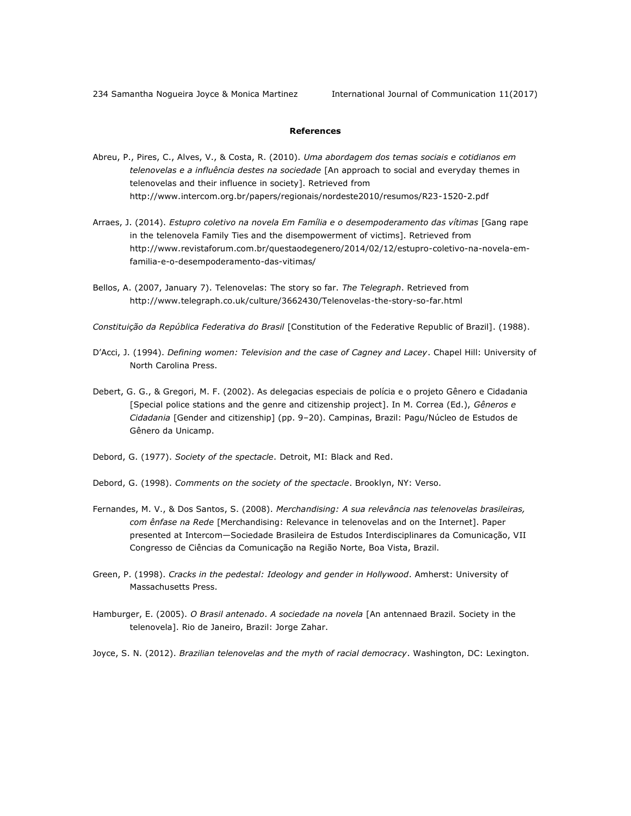234 Samantha Nogueira Joyce & Monica Martinez International Journal of Communication 11(2017)

### **References**

- Abreu, P., Pires, C., Alves, V., & Costa, R. (2010). *Uma abordagem dos temas sociais e cotidianos em telenovelas e a influência destes na sociedade* [An approach to social and everyday themes in telenovelas and their influence in society]. Retrieved from <http://www.intercom.org.br/papers/regionais/nordeste2010/resumos/R23-1520-2.pdf>
- Arraes, J. (2014). *Estupro coletivo na novela Em Família e o desempoderamento das vítimas* [Gang rape in the telenovela Family Ties and the disempowerment of victims]. Retrieved from [http://www.revistaforum.com.br/questaodegenero/2014/02/12/estupro-coletivo-na-novela-em](http://www.revistaforum.com.br/questaodegenero/2014/02/12/estupro-coletivo-na-novela-em-familia-e-o-desempoderamento-das-vitimas/)[familia-e-o-desempoderamento-das-vitimas/](http://www.revistaforum.com.br/questaodegenero/2014/02/12/estupro-coletivo-na-novela-em-familia-e-o-desempoderamento-das-vitimas/)
- Bellos, A. (2007, January 7). Telenovelas: The story so far. *The Telegraph*. Retrieved from <http://www.telegraph.co.uk/culture/3662430/Telenovelas-the-story-so-far.html>
- *Constituição da República Federativa do Brasil* [Constitution of the Federative Republic of Brazil]. (1988).
- D'Acci, J. (1994). *Defining women: Television and the case of Cagney and Lacey*. Chapel Hill: University of North Carolina Press.
- Debert, G. G., & Gregori, M. F. (2002). As delegacias especiais de polícia e o projeto Gênero e Cidadania [Special police stations and the genre and citizenship project]. In M. Correa (Ed.), *Gêneros e Cidadania* [Gender and citizenship] (pp. 9–20). Campinas, Brazil: Pagu/Núcleo de Estudos de Gênero da Unicamp.
- Debord, G. (1977). *Society of the spectacle*. Detroit, MI: Black and Red.
- Debord, G. (1998). *Comments on the society of the spectacle*. Brooklyn, NY: Verso.
- Fernandes, M. V., & Dos Santos, S. (2008). *Merchandising: A sua relevância nas telenovelas brasileiras, com ênfase na Rede* [Merchandising: Relevance in telenovelas and on the Internet]. Paper presented at Intercom—Sociedade Brasileira de Estudos Interdisciplinares da Comunicação, VII Congresso de Ciências da Comunicação na Região Norte, Boa Vista, Brazil.
- Green, P. (1998). *Cracks in the pedestal: Ideology and gender in Hollywood*. Amherst: University of Massachusetts Press.
- Hamburger, E. (2005). *O Brasil antenado*. *A sociedade na novela* [An antennaed Brazil. Society in the telenovela]. Rio de Janeiro, Brazil: Jorge Zahar.
- Joyce, S. N. (2012). *Brazilian telenovelas and the myth of racial democracy*. Washington, DC: Lexington.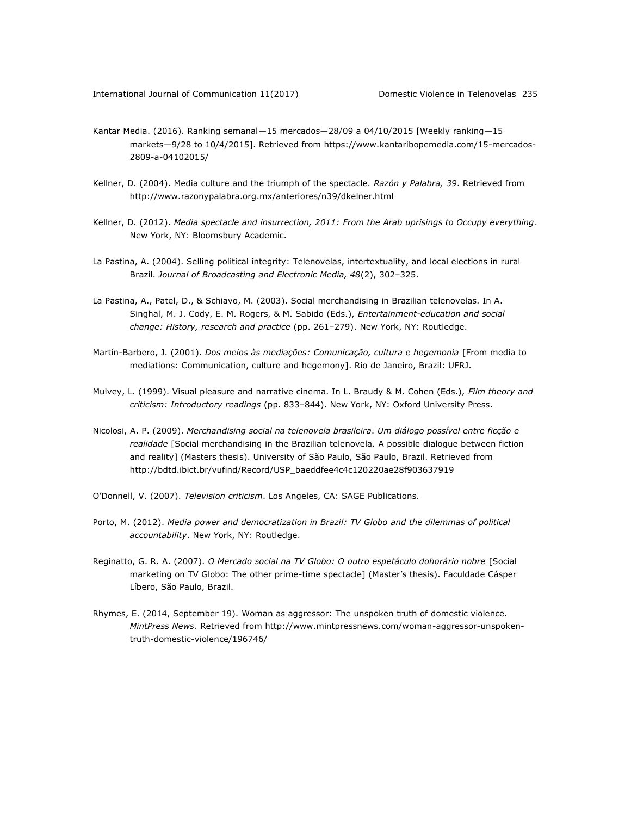- Kantar Media. (2016). Ranking semanal—15 mercados—28/09 a 04/10/2015 [Weekly ranking—15 markets—9/28 to 10/4/2015]. Retrieved from [https://www.kantaribopemedia.com/15-mercados-](https://www.kantaribopemedia.com/15-mercados-2809-a-04102015/)[2809-a-04102015/](https://www.kantaribopemedia.com/15-mercados-2809-a-04102015/)
- Kellner, D. (2004). Media culture and the triumph of the spectacle. *Razón y Palabra, 39*. Retrieved from <http://www.razonypalabra.org.mx/anteriores/n39/dkelner.html>
- Kellner, D. (2012). *Media spectacle and insurrection, 2011: From the Arab uprisings to Occupy everything*. New York, NY: Bloomsbury Academic.
- La Pastina, A. (2004). Selling political integrity: Telenovelas, intertextuality, and local elections in rural Brazil. *Journal of Broadcasting and Electronic Media, 48*(2), 302–325.
- La Pastina, A., Patel, D., & Schiavo, M. (2003). Social merchandising in Brazilian telenovelas. In A. Singhal, M. J. Cody, E. M. Rogers, & M. Sabido (Eds.), *Entertainment-education and social change: History, research and practice* (pp. 261–279). New York, NY: Routledge.
- Martín-Barbero, J. (2001). *Dos meios às mediações: Comunicação, cultura e hegemonia* [From media to mediations: Communication, culture and hegemony]. Rio de Janeiro, Brazil: UFRJ.
- Mulvey, L. (1999). Visual pleasure and narrative cinema. In L. Braudy & M. Cohen (Eds.), *Film theory and criticism: Introductory readings* (pp. 833–844). New York, NY: Oxford University Press.
- Nicolosi, A. P. (2009). *Merchandising social na telenovela brasileira*. *Um diálogo possível entre ficção e realidade* [Social merchandising in the Brazilian telenovela. A possible dialogue between fiction and reality] (Masters thesis). University of São Paulo, São Paulo, Brazil. Retrieved from [http://bdtd.ibict.br/vufind/Record/USP\\_baeddfee4c4c120220ae28f903637919](http://bdtd.ibict.br/vufind/Record/USP_baeddfee4c4c120220ae28f903637919)
- O'Donnell, V. (2007). *Television criticism*. Los Angeles, CA: SAGE Publications.
- Porto, M. (2012). *Media power and democratization in Brazil: TV Globo and the dilemmas of political accountability*. New York, NY: Routledge.
- Reginatto, G. R. A. (2007). *O Mercado social na TV Globo: O outro espetáculo dohorário nobre* [Social marketing on TV Globo: The other prime-time spectacle] (Master's thesis). Faculdade Cásper Líbero, São Paulo, Brazil.
- Rhymes, E. (2014, September 19). Woman as aggressor: The unspoken truth of domestic violence. *MintPress News*. Retrieved from [http://www.mintpressnews.com/woman-aggressor-unspoken](http://www.mintpressnews.com/woman-aggressor-unspoken-truth-domestic-violence/196746/)[truth-domestic-violence/196746/](http://www.mintpressnews.com/woman-aggressor-unspoken-truth-domestic-violence/196746/)